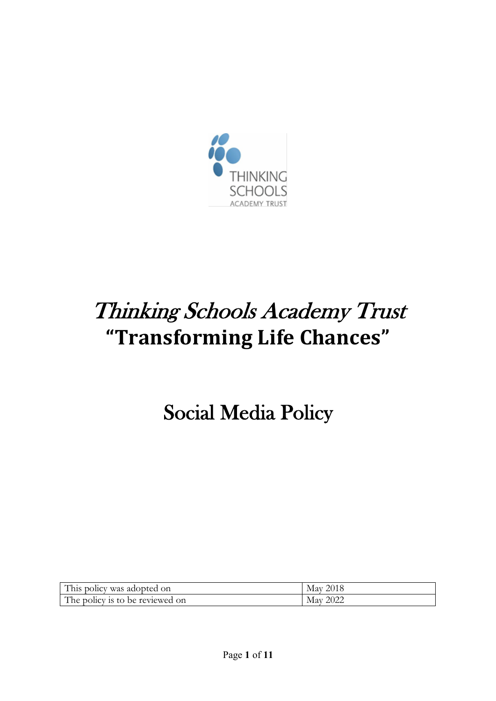

# Thinking Schools Academy Trust **"Transforming Life Chances"**

Social Media Policy

| This policy was adopted on      | 2018<br>May |
|---------------------------------|-------------|
| The policy is to be reviewed on | 2022<br>Mav |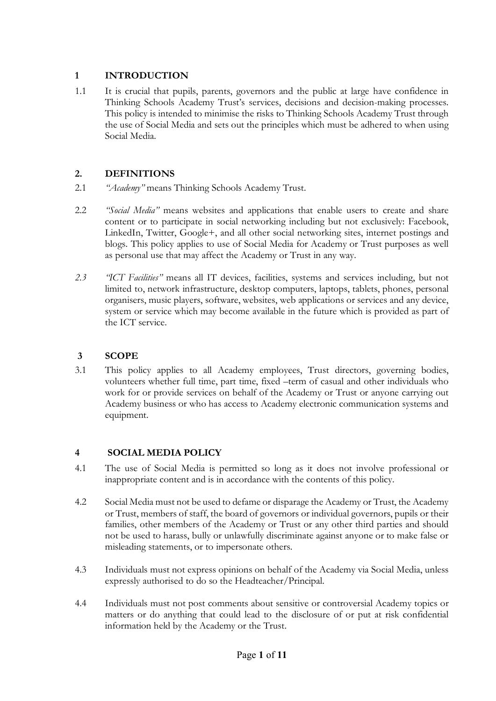# **1 INTRODUCTION**

1.1 It is crucial that pupils, parents, governors and the public at large have confidence in Thinking Schools Academy Trust's services, decisions and decision-making processes. This policy is intended to minimise the risks to Thinking Schools Academy Trust through the use of Social Media and sets out the principles which must be adhered to when using Social Media.

# **2. DEFINITIONS**

- 2.1 *"Academy"* means Thinking Schools Academy Trust.
- 2.2 *"Social Media"* means websites and applications that enable users to create and share content or to participate in social networking including but not exclusively: Facebook, LinkedIn, Twitter, Google+, and all other social networking sites, internet postings and blogs. This policy applies to use of Social Media for Academy or Trust purposes as well as personal use that may affect the Academy or Trust in any way.
- *2.3 "ICT Facilities"* means all IT devices, facilities, systems and services including, but not limited to, network infrastructure, desktop computers, laptops, tablets, phones, personal organisers, music players, software, websites, web applications or services and any device, system or service which may become available in the future which is provided as part of the ICT service.

# **3 SCOPE**

3.1 This policy applies to all Academy employees, Trust directors, governing bodies, volunteers whether full time, part time, fixed –term of casual and other individuals who work for or provide services on behalf of the Academy or Trust or anyone carrying out Academy business or who has access to Academy electronic communication systems and equipment.

# **4 SOCIAL MEDIA POLICY**

- 4.1 The use of Social Media is permitted so long as it does not involve professional or inappropriate content and is in accordance with the contents of this policy.
- 4.2 Social Media must not be used to defame or disparage the Academy or Trust, the Academy or Trust, members of staff, the board of governors or individual governors, pupils or their families, other members of the Academy or Trust or any other third parties and should not be used to harass, bully or unlawfully discriminate against anyone or to make false or misleading statements, or to impersonate others.
- 4.3 Individuals must not express opinions on behalf of the Academy via Social Media, unless expressly authorised to do so the Headteacher/Principal.
- 4.4 Individuals must not post comments about sensitive or controversial Academy topics or matters or do anything that could lead to the disclosure of or put at risk confidential information held by the Academy or the Trust.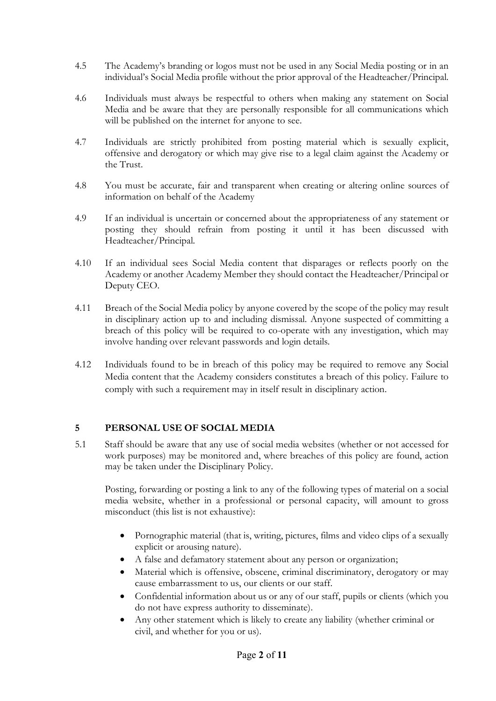- 4.5 The Academy's branding or logos must not be used in any Social Media posting or in an individual's Social Media profile without the prior approval of the Headteacher/Principal.
- 4.6 Individuals must always be respectful to others when making any statement on Social Media and be aware that they are personally responsible for all communications which will be published on the internet for anyone to see.
- 4.7 Individuals are strictly prohibited from posting material which is sexually explicit, offensive and derogatory or which may give rise to a legal claim against the Academy or the Trust.
- 4.8 You must be accurate, fair and transparent when creating or altering online sources of information on behalf of the Academy
- 4.9 If an individual is uncertain or concerned about the appropriateness of any statement or posting they should refrain from posting it until it has been discussed with Headteacher/Principal.
- 4.10 If an individual sees Social Media content that disparages or reflects poorly on the Academy or another Academy Member they should contact the Headteacher/Principal or Deputy CEO.
- 4.11 Breach of the Social Media policy by anyone covered by the scope of the policy may result in disciplinary action up to and including dismissal. Anyone suspected of committing a breach of this policy will be required to co-operate with any investigation, which may involve handing over relevant passwords and login details.
- 4.12 Individuals found to be in breach of this policy may be required to remove any Social Media content that the Academy considers constitutes a breach of this policy. Failure to comply with such a requirement may in itself result in disciplinary action.

## **5 PERSONAL USE OF SOCIAL MEDIA**

5.1 Staff should be aware that any use of social media websites (whether or not accessed for work purposes) may be monitored and, where breaches of this policy are found, action may be taken under the Disciplinary Policy.

Posting, forwarding or posting a link to any of the following types of material on a social media website, whether in a professional or personal capacity, will amount to gross misconduct (this list is not exhaustive):

- Pornographic material (that is, writing, pictures, films and video clips of a sexually explicit or arousing nature).
- A false and defamatory statement about any person or organization;
- Material which is offensive, obscene, criminal discriminatory, derogatory or may cause embarrassment to us, our clients or our staff.
- Confidential information about us or any of our staff, pupils or clients (which you do not have express authority to disseminate).
- Any other statement which is likely to create any liability (whether criminal or civil, and whether for you or us).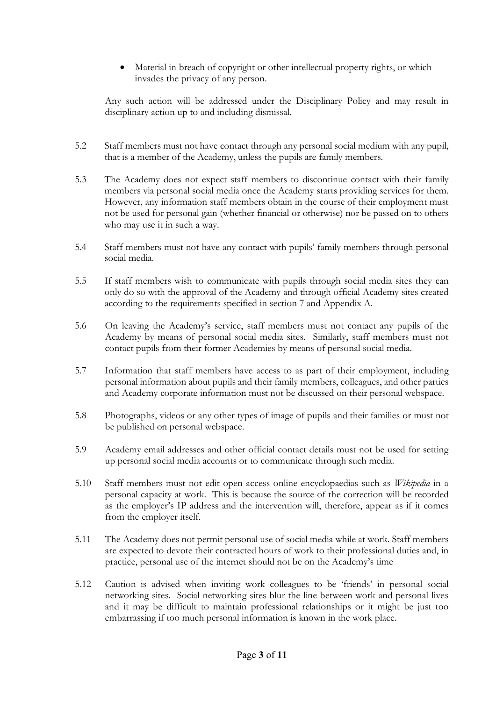• Material in breach of copyright or other intellectual property rights, or which invades the privacy of any person.

Any such action will be addressed under the Disciplinary Policy and may result in disciplinary action up to and including dismissal.

- 5.2 Staff members must not have contact through any personal social medium with any pupil, that is a member of the Academy, unless the pupils are family members.
- 5.3 The Academy does not expect staff members to discontinue contact with their family members via personal social media once the Academy starts providing services for them. However, any information staff members obtain in the course of their employment must not be used for personal gain (whether financial or otherwise) nor be passed on to others who may use it in such a way.
- 5.4 Staff members must not have any contact with pupils' family members through personal social media.
- 5.5 If staff members wish to communicate with pupils through social media sites they can only do so with the approval of the Academy and through official Academy sites created according to the requirements specified in section 7 and Appendix A.
- 5.6 On leaving the Academy's service, staff members must not contact any pupils of the Academy by means of personal social media sites. Similarly, staff members must not contact pupils from their former Academies by means of personal social media.
- 5.7 Information that staff members have access to as part of their employment, including personal information about pupils and their family members, colleagues, and other parties and Academy corporate information must not be discussed on their personal webspace.
- 5.8 Photographs, videos or any other types of image of pupils and their families or must not be published on personal webspace.
- 5.9 Academy email addresses and other official contact details must not be used for setting up personal social media accounts or to communicate through such media.
- 5.10 Staff members must not edit open access online encyclopaedias such as *Wikipedia* in a personal capacity at work. This is because the source of the correction will be recorded as the employer's IP address and the intervention will, therefore, appear as if it comes from the employer itself.
- 5.11 The Academy does not permit personal use of social media while at work. Staff members are expected to devote their contracted hours of work to their professional duties and, in practice, personal use of the internet should not be on the Academy's time
- 5.12 Caution is advised when inviting work colleagues to be 'friends' in personal social networking sites. Social networking sites blur the line between work and personal lives and it may be difficult to maintain professional relationships or it might be just too embarrassing if too much personal information is known in the work place.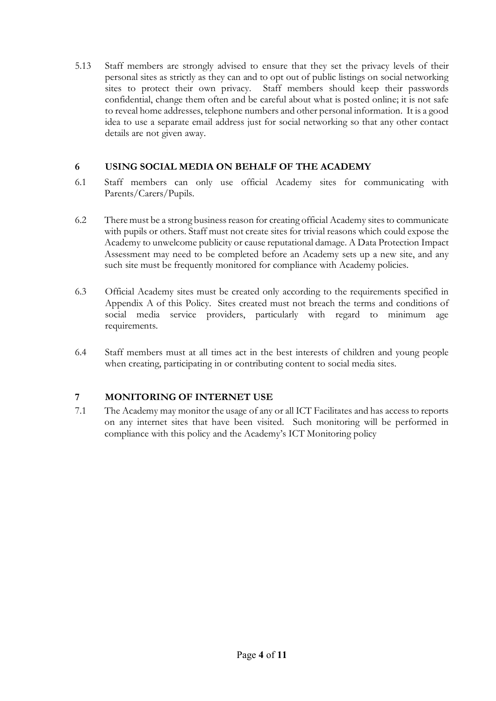5.13 Staff members are strongly advised to ensure that they set the privacy levels of their personal sites as strictly as they can and to opt out of public listings on social networking sites to protect their own privacy. Staff members should keep their passwords confidential, change them often and be careful about what is posted online; it is not safe to reveal home addresses, telephone numbers and other personal information. It is a good idea to use a separate email address just for social networking so that any other contact details are not given away.

## **6 USING SOCIAL MEDIA ON BEHALF OF THE ACADEMY**

- 6.1 Staff members can only use official Academy sites for communicating with Parents/Carers/Pupils.
- 6.2 There must be a strong business reason for creating official Academy sites to communicate with pupils or others. Staff must not create sites for trivial reasons which could expose the Academy to unwelcome publicity or cause reputational damage. A Data Protection Impact Assessment may need to be completed before an Academy sets up a new site, and any such site must be frequently monitored for compliance with Academy policies.
- 6.3 Official Academy sites must be created only according to the requirements specified in Appendix A of this Policy. Sites created must not breach the terms and conditions of social media service providers, particularly with regard to minimum age requirements.
- 6.4 Staff members must at all times act in the best interests of children and young people when creating, participating in or contributing content to social media sites.

# **7 MONITORING OF INTERNET USE**

7.1 The Academy may monitor the usage of any or all ICT Facilitates and has access to reports on any internet sites that have been visited. Such monitoring will be performed in compliance with this policy and the Academy's ICT Monitoring policy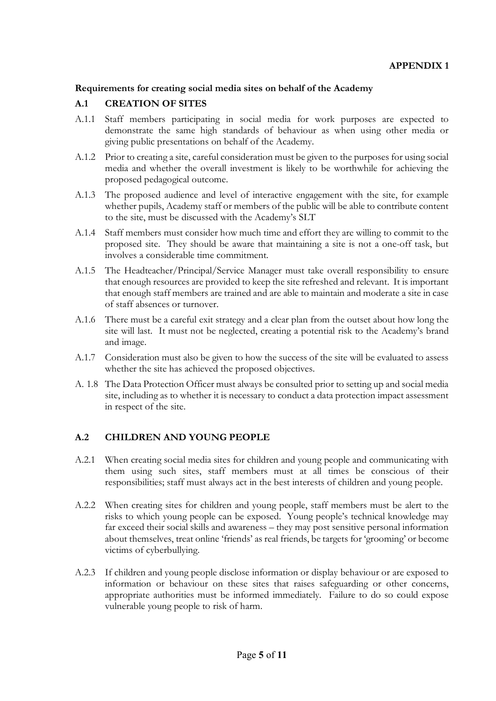#### **Requirements for creating social media sites on behalf of the Academy**

## **A.1 CREATION OF SITES**

- A.1.1 Staff members participating in social media for work purposes are expected to demonstrate the same high standards of behaviour as when using other media or giving public presentations on behalf of the Academy.
- A.1.2 Prior to creating a site, careful consideration must be given to the purposes for using social media and whether the overall investment is likely to be worthwhile for achieving the proposed pedagogical outcome.
- A.1.3 The proposed audience and level of interactive engagement with the site, for example whether pupils, Academy staff or members of the public will be able to contribute content to the site, must be discussed with the Academy's SLT
- A.1.4 Staff members must consider how much time and effort they are willing to commit to the proposed site. They should be aware that maintaining a site is not a one-off task, but involves a considerable time commitment.
- A.1.5 The Headteacher/Principal/Service Manager must take overall responsibility to ensure that enough resources are provided to keep the site refreshed and relevant. It is important that enough staff members are trained and are able to maintain and moderate a site in case of staff absences or turnover.
- A.1.6 There must be a careful exit strategy and a clear plan from the outset about how long the site will last. It must not be neglected, creating a potential risk to the Academy's brand and image.
- A.1.7 Consideration must also be given to how the success of the site will be evaluated to assess whether the site has achieved the proposed objectives.
- A. 1.8 The Data Protection Officer must always be consulted prior to setting up and social media site, including as to whether it is necessary to conduct a data protection impact assessment in respect of the site.

## **A.2 CHILDREN AND YOUNG PEOPLE**

- A.2.1 When creating social media sites for children and young people and communicating with them using such sites, staff members must at all times be conscious of their responsibilities; staff must always act in the best interests of children and young people.
- A.2.2 When creating sites for children and young people, staff members must be alert to the risks to which young people can be exposed. Young people's technical knowledge may far exceed their social skills and awareness – they may post sensitive personal information about themselves, treat online 'friends' as real friends, be targets for 'grooming' or become victims of cyberbullying.
- A.2.3 If children and young people disclose information or display behaviour or are exposed to information or behaviour on these sites that raises safeguarding or other concerns, appropriate authorities must be informed immediately. Failure to do so could expose vulnerable young people to risk of harm.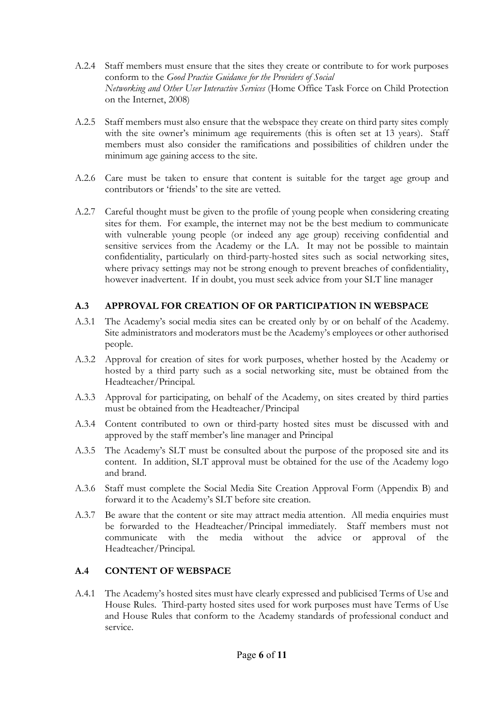- A.2.4 Staff members must ensure that the sites they create or contribute to for work purposes conform to the *Good Practice Guidance for the Providers of Social Networking and Other User Interactive Services* (Home Office Task Force on Child Protection on the Internet, 2008)
- A.2.5 Staff members must also ensure that the webspace they create on third party sites comply with the site owner's minimum age requirements (this is often set at 13 years). Staff members must also consider the ramifications and possibilities of children under the minimum age gaining access to the site.
- A.2.6 Care must be taken to ensure that content is suitable for the target age group and contributors or 'friends' to the site are vetted.
- A.2.7 Careful thought must be given to the profile of young people when considering creating sites for them. For example, the internet may not be the best medium to communicate with vulnerable young people (or indeed any age group) receiving confidential and sensitive services from the Academy or the LA. It may not be possible to maintain confidentiality, particularly on third-party-hosted sites such as social networking sites, where privacy settings may not be strong enough to prevent breaches of confidentiality, however inadvertent. If in doubt, you must seek advice from your SLT line manager

# **A.3 APPROVAL FOR CREATION OF OR PARTICIPATION IN WEBSPACE**

- A.3.1 The Academy's social media sites can be created only by or on behalf of the Academy. Site administrators and moderators must be the Academy's employees or other authorised people.
- A.3.2 Approval for creation of sites for work purposes, whether hosted by the Academy or hosted by a third party such as a social networking site, must be obtained from the Headteacher/Principal.
- A.3.3 Approval for participating, on behalf of the Academy, on sites created by third parties must be obtained from the Headteacher/Principal
- A.3.4 Content contributed to own or third-party hosted sites must be discussed with and approved by the staff member's line manager and Principal
- A.3.5 The Academy's SLT must be consulted about the purpose of the proposed site and its content. In addition, SLT approval must be obtained for the use of the Academy logo and brand.
- A.3.6 Staff must complete the Social Media Site Creation Approval Form (Appendix B) and forward it to the Academy's SLT before site creation.
- A.3.7 Be aware that the content or site may attract media attention. All media enquiries must be forwarded to the Headteacher/Principal immediately. Staff members must not communicate with the media without the advice or approval of the Headteacher/Principal.

#### **A.4 CONTENT OF WEBSPACE**

A.4.1 The Academy's hosted sites must have clearly expressed and publicised Terms of Use and House Rules. Third-party hosted sites used for work purposes must have Terms of Use and House Rules that conform to the Academy standards of professional conduct and service.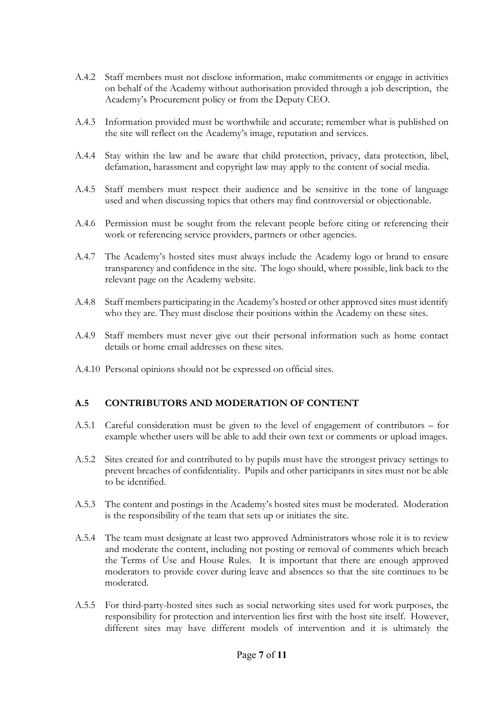- A.4.2 Staff members must not disclose information, make commitments or engage in activities on behalf of the Academy without authorisation provided through a job description, the Academy's Procurement policy or from the Deputy CEO.
- A.4.3 Information provided must be worthwhile and accurate; remember what is published on the site will reflect on the Academy's image, reputation and services.
- A.4.4 Stay within the law and be aware that child protection, privacy, data protection, libel, defamation, harassment and copyright law may apply to the content of social media.
- A.4.5 Staff members must respect their audience and be sensitive in the tone of language used and when discussing topics that others may find controversial or objectionable.
- A.4.6 Permission must be sought from the relevant people before citing or referencing their work or referencing service providers, partners or other agencies.
- A.4.7 The Academy's hosted sites must always include the Academy logo or brand to ensure transparency and confidence in the site. The logo should, where possible, link back to the relevant page on the Academy website.
- A.4.8 Staff members participating in the Academy's hosted or other approved sites must identify who they are. They must disclose their positions within the Academy on these sites.
- A.4.9 Staff members must never give out their personal information such as home contact details or home email addresses on these sites.
- A.4.10 Personal opinions should not be expressed on official sites.

#### **A.5 CONTRIBUTORS AND MODERATION OF CONTENT**

- A.5.1 Careful consideration must be given to the level of engagement of contributors for example whether users will be able to add their own text or comments or upload images.
- A.5.2 Sites created for and contributed to by pupils must have the strongest privacy settings to prevent breaches of confidentiality. Pupils and other participants in sites must not be able to be identified.
- A.5.3 The content and postings in the Academy's hosted sites must be moderated. Moderation is the responsibility of the team that sets up or initiates the site.
- A.5.4 The team must designate at least two approved Administrators whose role it is to review and moderate the content, including not posting or removal of comments which breach the Terms of Use and House Rules. It is important that there are enough approved moderators to provide cover during leave and absences so that the site continues to be moderated.
- A.5.5 For third-party-hosted sites such as social networking sites used for work purposes, the responsibility for protection and intervention lies first with the host site itself. However, different sites may have different models of intervention and it is ultimately the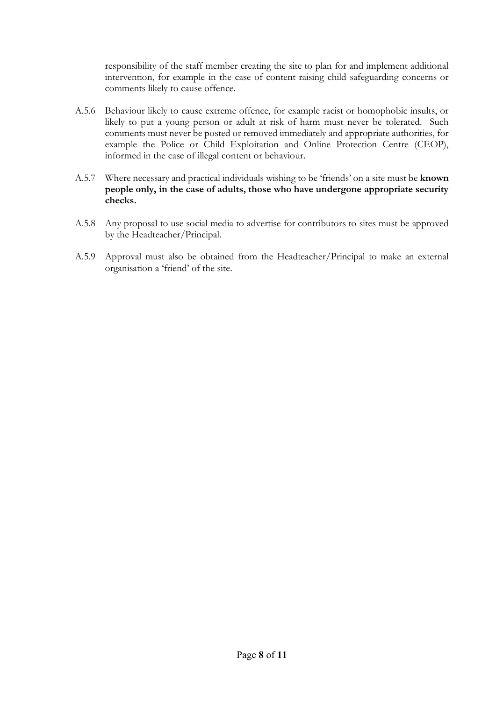responsibility of the staff member creating the site to plan for and implement additional intervention, for example in the case of content raising child safeguarding concerns or comments likely to cause offence.

- A.5.6 Behaviour likely to cause extreme offence, for example racist or homophobic insults, or likely to put a young person or adult at risk of harm must never be tolerated. Such comments must never be posted or removed immediately and appropriate authorities, for example the Police or Child Exploitation and Online Protection Centre (CEOP), informed in the case of illegal content or behaviour.
- A.5.7 Where necessary and practical individuals wishing to be 'friends' on a site must be **known people only, in the case of adults, those who have undergone appropriate security checks.**
- A.5.8 Any proposal to use social media to advertise for contributors to sites must be approved by the Headteacher/Principal.
- A.5.9 Approval must also be obtained from the Headteacher/Principal to make an external organisation a 'friend' of the site.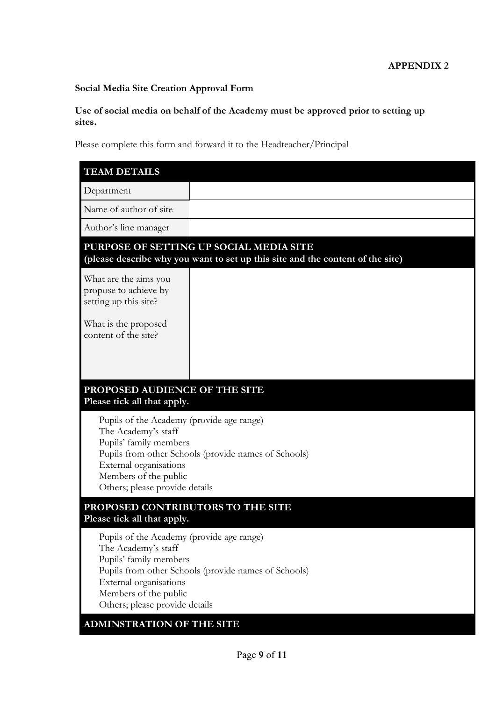# **Social Media Site Creation Approval Form**

## **Use of social media on behalf of the Academy must be approved prior to setting up sites.**

Please complete this form and forward it to the Headteacher/Principal

| <b>TEAM DETAILS</b>                                                                                                                                                                                          |                                                      |  |  |  |
|--------------------------------------------------------------------------------------------------------------------------------------------------------------------------------------------------------------|------------------------------------------------------|--|--|--|
| Department                                                                                                                                                                                                   |                                                      |  |  |  |
| Name of author of site                                                                                                                                                                                       |                                                      |  |  |  |
| Author's line manager                                                                                                                                                                                        |                                                      |  |  |  |
| PURPOSE OF SETTING UP SOCIAL MEDIA SITE<br>(please describe why you want to set up this site and the content of the site)                                                                                    |                                                      |  |  |  |
| What are the aims you<br>propose to achieve by<br>setting up this site?                                                                                                                                      |                                                      |  |  |  |
| What is the proposed<br>content of the site?                                                                                                                                                                 |                                                      |  |  |  |
| PROPOSED AUDIENCE OF THE SITE<br>Please tick all that apply.                                                                                                                                                 |                                                      |  |  |  |
| Pupils of the Academy (provide age range)<br>The Academy's staff<br>Pupils' family members<br>External organisations<br>Members of the public<br>Others; please provide details                              | Pupils from other Schools (provide names of Schools) |  |  |  |
| PROPOSED CONTRIBUTORS TO THE SITE<br>Please tick all that apply.                                                                                                                                             |                                                      |  |  |  |
| Pupils of the Academy (provide age range)<br>The Academy's staff<br>Pupils' family members<br>External organisations<br>Members of the public<br>Others; please provide details<br>ADMINSTRATION OF THE SITE | Pupils from other Schools (provide names of Schools) |  |  |  |